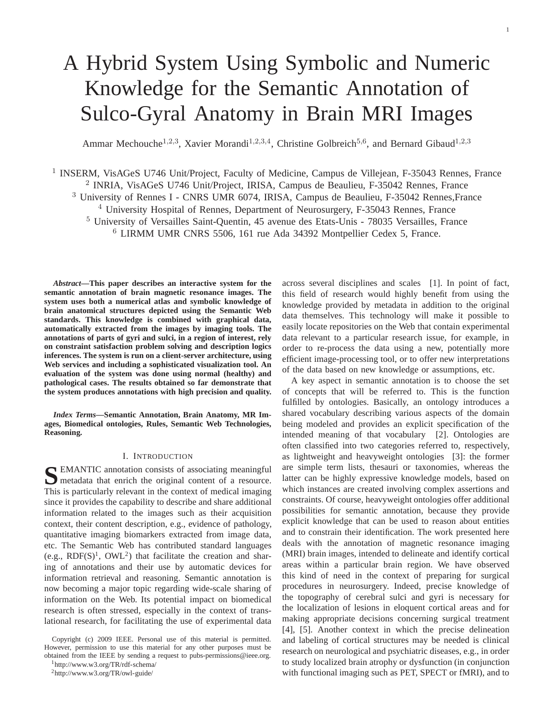# A Hybrid System Using Symbolic and Numeric Knowledge for the Semantic Annotation of Sulco-Gyral Anatomy in Brain MRI Images

Ammar Mechouche<sup>1,2,3</sup>, Xavier Morandi<sup>1,2,3,4</sup>, Christine Golbreich<sup>5,6</sup>, and Bernard Gibaud<sup>1,2,3</sup>

<sup>1</sup> INSERM, VisAGeS U746 Unit/Project, Faculty of Medicine, Campus de Villejean, F-35043 Rennes, France

2 INRIA, VisAGeS U746 Unit/Project, IRISA, Campus de Beaulieu, F-35042 Rennes, France

<sup>3</sup> University of Rennes I - CNRS UMR 6074, IRISA, Campus de Beaulieu, F-35042 Rennes,France

<sup>4</sup> University Hospital of Rennes, Department of Neurosurgery, F-35043 Rennes, France

<sup>5</sup> University of Versailles Saint-Quentin, 45 avenue des Etats-Unis - 78035 Versailles, France

<sup>6</sup> LIRMM UMR CNRS 5506, 161 rue Ada 34392 Montpellier Cedex 5, France.

*Abstract***—This paper describes an interactive system for the semantic annotation of brain magnetic resonance images. The system uses both a numerical atlas and symbolic knowledge of brain anatomical structures depicted using the Semantic Web standards. This knowledge is combined with graphical data, automatically extracted from the images by imaging tools. The annotations of parts of gyri and sulci, in a region of interest, rely on constraint satisfaction problem solving and description logics inferences. The system is run on a client-server architecture, using Web services and including a sophisticated visualization tool. An evaluation of the system was done using normal (healthy) and pathological cases. The results obtained so far demonstrate that the system produces annotations with high precision and quality.**

*Index Terms***—Semantic Annotation, Brain Anatomy, MR Images, Biomedical ontologies, Rules, Semantic Web Technologies, Reasoning.**

#### I. INTRODUCTION

SEMANTIC annotation consists of associating meaningful<br>
metadata that enrich the original content of a resource. metadata that enrich the original content of a resource. This is particularly relevant in the context of medical imaging since it provides the capability to describe and share additional information related to the images such as their acquisition context, their content description, e.g., evidence of pathology, quantitative imaging biomarkers extracted from image data, etc. The Semantic Web has contributed standard languages (e.g.,  $RDF(S)^1$ , OWL<sup>2</sup>) that facilitate the creation and sharing of annotations and their use by automatic devices for information retrieval and reasoning. Semantic annotation is now becoming a major topic regarding wide-scale sharing of information on the Web. Its potential impact on biomedical research is often stressed, especially in the context of translational research, for facilitating the use of experimental data

Copyright (c) 2009 IEEE. Personal use of this material is permitted. However, permission to use this material for any other purposes must be obtained from the IEEE by sending a request to pubs-permissions@ieee.org.

<sup>1</sup>http://www.w3.org/TR/rdf-schema/

across several disciplines and scales [1]. In point of fact, this field of research would highly benefit from using the knowledge provided by metadata in addition to the original data themselves. This technology will make it possible to easily locate repositories on the Web that contain experimental data relevant to a particular research issue, for example, in order to re-process the data using a new, potentially more efficient image-processing tool, or to offer new interpretations of the data based on new knowledge or assumptions, etc.

A key aspect in semantic annotation is to choose the set of concepts that will be referred to. This is the function fulfilled by ontologies. Basically, an ontology introduces a shared vocabulary describing various aspects of the domain being modeled and provides an explicit specification of the intended meaning of that vocabulary [2]. Ontologies are often classified into two categories referred to, respectively, as lightweight and heavyweight ontologies [3]: the former are simple term lists, thesauri or taxonomies, whereas the latter can be highly expressive knowledge models, based on which instances are created involving complex assertions and constraints. Of course, heavyweight ontologies offer additional possibilities for semantic annotation, because they provide explicit knowledge that can be used to reason about entities and to constrain their identification. The work presented here deals with the annotation of magnetic resonance imaging (MRI) brain images, intended to delineate and identify cortical areas within a particular brain region. We have observed this kind of need in the context of preparing for surgical procedures in neurosurgery. Indeed, precise knowledge of the topography of cerebral sulci and gyri is necessary for the localization of lesions in eloquent cortical areas and for making appropriate decisions concerning surgical treatment [4], [5]. Another context in which the precise delineation and labeling of cortical structures may be needed is clinical research on neurological and psychiatric diseases, e.g., in order to study localized brain atrophy or dysfunction (in conjunction with functional imaging such as PET, SPECT or fMRI), and to

<sup>2</sup>http://www.w3.org/TR/owl-guide/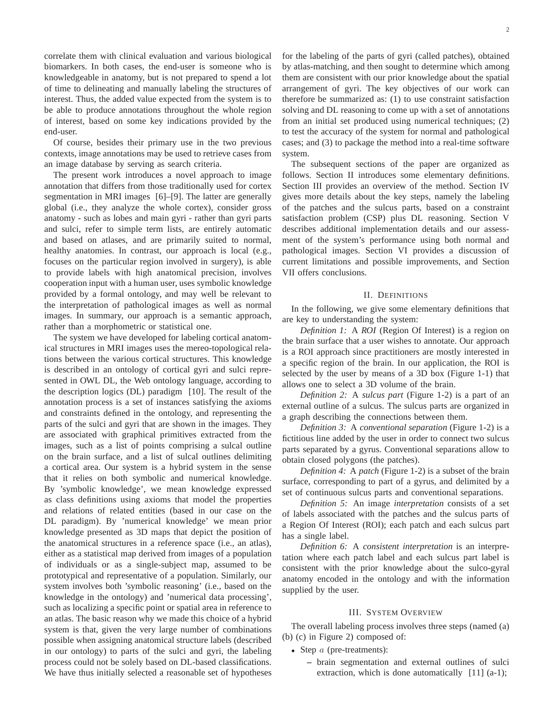correlate them with clinical evaluation and various biological biomarkers. In both cases, the end-user is someone who is knowledgeable in anatomy, but is not prepared to spend a lot of time to delineating and manually labeling the structures of interest. Thus, the added value expected from the system is to be able to produce annotations throughout the whole region of interest, based on some key indications provided by the end-user.

Of course, besides their primary use in the two previous contexts, image annotations may be used to retrieve cases from an image database by serving as search criteria.

The present work introduces a novel approach to image annotation that differs from those traditionally used for cortex segmentation in MRI images [6]–[9]. The latter are generally global (i.e., they analyze the whole cortex), consider gross anatomy - such as lobes and main gyri - rather than gyri parts and sulci, refer to simple term lists, are entirely automatic and based on atlases, and are primarily suited to normal, healthy anatomies. In contrast, our approach is local (e.g., focuses on the particular region involved in surgery), is able to provide labels with high anatomical precision, involves cooperation input with a human user, uses symbolic knowledge provided by a formal ontology, and may well be relevant to the interpretation of pathological images as well as normal images. In summary, our approach is a semantic approach, rather than a morphometric or statistical one.

The system we have developed for labeling cortical anatomical structures in MRI images uses the mereo-topological relations between the various cortical structures. This knowledge is described in an ontology of cortical gyri and sulci represented in OWL DL, the Web ontology language, according to the description logics (DL) paradigm [10]. The result of the annotation process is a set of instances satisfying the axioms and constraints defined in the ontology, and representing the parts of the sulci and gyri that are shown in the images. They are associated with graphical primitives extracted from the images, such as a list of points comprising a sulcal outline on the brain surface, and a list of sulcal outlines delimiting a cortical area. Our system is a hybrid system in the sense that it relies on both symbolic and numerical knowledge. By 'symbolic knowledge', we mean knowledge expressed as class definitions using axioms that model the properties and relations of related entities (based in our case on the DL paradigm). By 'numerical knowledge' we mean prior knowledge presented as 3D maps that depict the position of the anatomical structures in a reference space (i.e., an atlas), either as a statistical map derived from images of a population of individuals or as a single-subject map, assumed to be prototypical and representative of a population. Similarly, our system involves both 'symbolic reasoning' (i.e., based on the knowledge in the ontology) and 'numerical data processing', such as localizing a specific point or spatial area in reference to an atlas. The basic reason why we made this choice of a hybrid system is that, given the very large number of combinations possible when assigning anatomical structure labels (described in our ontology) to parts of the sulci and gyri, the labeling process could not be solely based on DL-based classifications. We have thus initially selected a reasonable set of hypotheses for the labeling of the parts of gyri (called patches), obtained by atlas-matching, and then sought to determine which among them are consistent with our prior knowledge about the spatial arrangement of gyri. The key objectives of our work can therefore be summarized as: (1) to use constraint satisfaction solving and DL reasoning to come up with a set of annotations from an initial set produced using numerical techniques; (2) to test the accuracy of the system for normal and pathological cases; and (3) to package the method into a real-time software system.

The subsequent sections of the paper are organized as follows. Section II introduces some elementary definitions. Section III provides an overview of the method. Section IV gives more details about the key steps, namely the labeling of the patches and the sulcus parts, based on a constraint satisfaction problem (CSP) plus DL reasoning. Section V describes additional implementation details and our assessment of the system's performance using both normal and pathological images. Section VI provides a discussion of current limitations and possible improvements, and Section VII offers conclusions.

# II. DEFINITIONS

In the following, we give some elementary definitions that are key to understanding the system:

*Definition 1:* A *ROI* (Region Of Interest) is a region on the brain surface that a user wishes to annotate. Our approach is a ROI approach since practitioners are mostly interested in a specific region of the brain. In our application, the ROI is selected by the user by means of a 3D box (Figure 1-1) that allows one to select a 3D volume of the brain.

*Definition 2:* A *sulcus part* (Figure 1-2) is a part of an external outline of a sulcus. The sulcus parts are organized in a graph describing the connections between them.

*Definition 3:* A *conventional separation* (Figure 1-2) is a fictitious line added by the user in order to connect two sulcus parts separated by a gyrus. Conventional separations allow to obtain closed polygons (the patches).

*Definition 4:* A *patch* (Figure 1-2) is a subset of the brain surface, corresponding to part of a gyrus, and delimited by a set of continuous sulcus parts and conventional separations.

*Definition 5:* An image *interpretation* consists of a set of labels associated with the patches and the sulcus parts of a Region Of Interest (ROI); each patch and each sulcus part has a single label.

*Definition 6:* A *consistent interpretation* is an interpretation where each patch label and each sulcus part label is consistent with the prior knowledge about the sulco-gyral anatomy encoded in the ontology and with the information supplied by the user.

#### III. SYSTEM OVERVIEW

The overall labeling process involves three steps (named (a) (b) (c) in Figure 2) composed of:

- Step  $\alpha$  (pre-treatments):
	- **–** brain segmentation and external outlines of sulci extraction, which is done automatically  $[11]$  (a-1);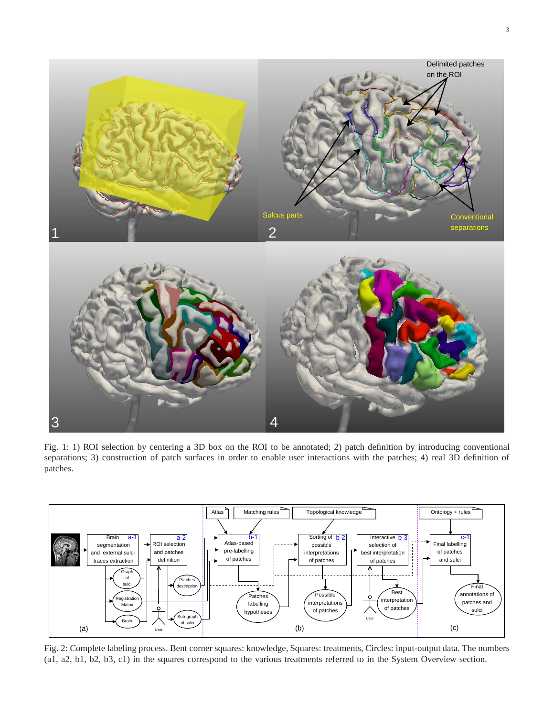

Fig. 1: 1) ROI selection by centering a 3D box on the ROI to be annotated; 2) patch definition by introducing conventional separations; 3) construction of patch surfaces in order to enable user interactions with the patches; 4) real 3D definition of patches.



Fig. 2: Complete labeling process. Bent corner squares: knowledge, Squares: treatments, Circles: input-output data. The numbers (a1, a2, b1, b2, b3, c1) in the squares correspond to the various treatments referred to in the System Overview section.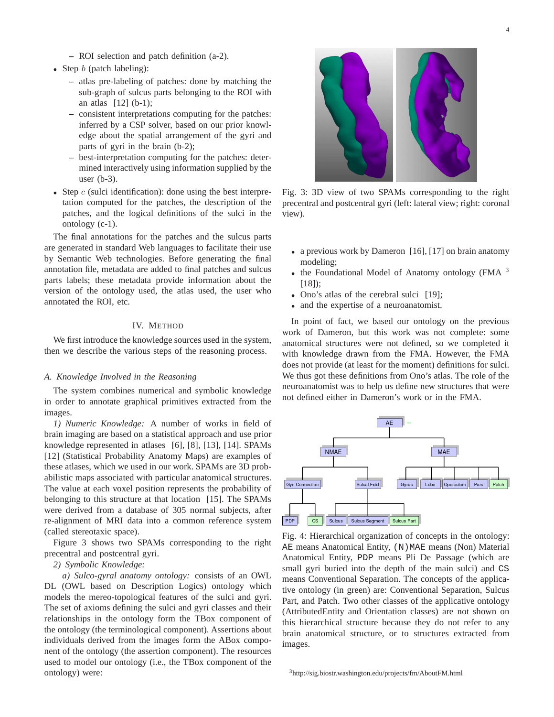- **–** ROI selection and patch definition (a-2).
- Step  $b$  (patch labeling):
	- **–** atlas pre-labeling of patches: done by matching the sub-graph of sulcus parts belonging to the ROI with an atlas [12] (b-1);
	- **–** consistent interpretations computing for the patches: inferred by a CSP solver, based on our prior knowledge about the spatial arrangement of the gyri and parts of gyri in the brain (b-2);
	- **–** best-interpretation computing for the patches: determined interactively using information supplied by the user (b-3).
- Step  $c$  (sulci identification): done using the best interpretation computed for the patches, the description of the patches, and the logical definitions of the sulci in the ontology (c-1).

The final annotations for the patches and the sulcus parts are generated in standard Web languages to facilitate their use by Semantic Web technologies. Before generating the final annotation file, metadata are added to final patches and sulcus parts labels; these metadata provide information about the version of the ontology used, the atlas used, the user who annotated the ROI, etc.

# IV. METHOD

We first introduce the knowledge sources used in the system, then we describe the various steps of the reasoning process.

#### *A. Knowledge Involved in the Reasoning*

The system combines numerical and symbolic knowledge in order to annotate graphical primitives extracted from the images.

*1) Numeric Knowledge:* A number of works in field of brain imaging are based on a statistical approach and use prior knowledge represented in atlases [6], [8], [13], [14]. SPAMs [12] (Statistical Probability Anatomy Maps) are examples of these atlases, which we used in our work. SPAMs are 3D probabilistic maps associated with particular anatomical structures. The value at each voxel position represents the probability of belonging to this structure at that location [15]. The SPAMs were derived from a database of 305 normal subjects, after re-alignment of MRI data into a common reference system (called stereotaxic space).

Figure 3 shows two SPAMs corresponding to the right precentral and postcentral gyri.

# *2) Symbolic Knowledge:*

*a) Sulco-gyral anatomy ontology:* consists of an OWL DL (OWL based on Description Logics) ontology which models the mereo-topological features of the sulci and gyri. The set of axioms defining the sulci and gyri classes and their relationships in the ontology form the TBox component of the ontology (the terminological component). Assertions about individuals derived from the images form the ABox component of the ontology (the assertion component). The resources used to model our ontology (i.e., the TBox component of the ontology) were:



Fig. 3: 3D view of two SPAMs corresponding to the right precentral and postcentral gyri (left: lateral view; right: coronal view).

- a previous work by Dameron  $[16]$ ,  $[17]$  on brain anatomy modeling;
- the Foundational Model of Anatomy ontology (FMA  $3$ [18]);
- Ono's atlas of the cerebral sulci [19];
- and the expertise of a neuroanatomist.

In point of fact, we based our ontology on the previous work of Dameron, but this work was not complete: some anatomical structures were not defined, so we completed it with knowledge drawn from the FMA. However, the FMA does not provide (at least for the moment) definitions for sulci. We thus got these definitions from Ono's atlas. The role of the neuroanatomist was to help us define new structures that were not defined either in Dameron's work or in the FMA.



Fig. 4: Hierarchical organization of concepts in the ontology: AE means Anatomical Entity, (N) MAE means (Non) Material Anatomical Entity, PDP means Pli De Passage (which are small gyri buried into the depth of the main sulci) and CS means Conventional Separation. The concepts of the applicative ontology (in green) are: Conventional Separation, Sulcus Part, and Patch. Two other classes of the applicative ontology (AttributedEntity and Orientation classes) are not shown on this hierarchical structure because they do not refer to any brain anatomical structure, or to structures extracted from images.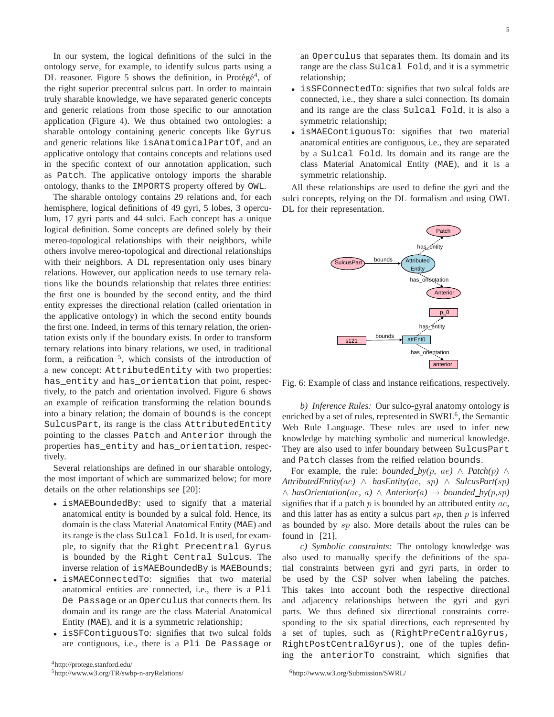In our system, the logical definitions of the sulci in the ontology serve, for example, to identify sulcus parts using a DL reasoner. Figure 5 shows the definition, in Protégé<sup>4</sup>, of the right superior precentral sulcus part. In order to maintain truly sharable knowledge, we have separated generic concepts and generic relations from those specific to our annotation application (Figure 4). We thus obtained two ontologies: a sharable ontology containing generic concepts like Gyrus and generic relations like isAnatomicalPartOf, and an applicative ontology that contains concepts and relations used in the specific context of our annotation application, such as Patch. The applicative ontology imports the sharable ontology, thanks to the IMPORTS property offered by OWL.

The sharable ontology contains 29 relations and, for each hemisphere, logical definitions of 49 gyri, 5 lobes, 3 operculum, 17 gyri parts and 44 sulci. Each concept has a unique logical definition. Some concepts are defined solely by their mereo-topological relationships with their neighbors, while others involve mereo-topological and directional relationships with their neighbors. A DL representation only uses binary relations. However, our application needs to use ternary relations like the bounds relationship that relates three entities: the first one is bounded by the second entity, and the third entity expresses the directional relation (called orientation in the applicative ontology) in which the second entity bounds the first one. Indeed, in terms of this ternary relation, the orientation exists only if the boundary exists. In order to transform ternary relations into binary relations, we used, in traditional form, a reification <sup>5</sup>, which consists of the introduction of a new concept: AttributedEntity with two properties: has\_entity and has\_orientation that point, respectively, to the patch and orientation involved. Figure 6 shows an example of reification transforming the relation bounds into a binary relation; the domain of bounds is the concept SulcusPart, its range is the class AttributedEntity pointing to the classes Patch and Anterior through the properties has\_entity and has\_orientation, respectively.

Several relationships are defined in our sharable ontology, the most important of which are summarized below; for more details on the other relationships see [20]:

- isMAEBoundedBy: used to signify that a material anatomical entity is bounded by a sulcal fold. Hence, its domain is the class Material Anatomical Entity (MAE) and its range is the class Sulcal Fold. It is used, for example, to signify that the Right Precentral Gyrus is bounded by the Right Central Sulcus. The inverse relation of isMAEBoundedBy is MAEBounds;
- isMAEConnectedTo: signifies that two material anatomical entities are connected, i.e., there is a Pli De Passage or an Operculus that connects them. Its domain and its range are the class Material Anatomical Entity (MAE), and it is a symmetric relationship;
- isSFContiguousTo: signifies that two sulcal folds are contiguous, i.e., there is a Pli De Passage or

an Operculus that separates them. Its domain and its range are the class Sulcal Fold, and it is a symmetric relationship;

- isSFConnectedTo: signifies that two sulcal folds are connected, i.e., they share a sulci connection. Its domain and its range are the class Sulcal Fold, it is also a symmetric relationship;
- isMAEContiguousTo: signifies that two material anatomical entities are contiguous, i.e., they are separated by a Sulcal Fold. Its domain and its range are the class Material Anatomical Entity (MAE), and it is a symmetric relationship.

All these relationships are used to define the gyri and the sulci concepts, relying on the DL formalism and using OWL DL for their representation.



Fig. 6: Example of class and instance reifications, respectively.

*b) Inference Rules:* Our sulco-gyral anatomy ontology is enriched by a set of rules, represented in SWRL<sup>6</sup>, the Semantic Web Rule Language. These rules are used to infer new knowledge by matching symbolic and numerical knowledge. They are also used to infer boundary between SulcusPart and Patch classes from the reified relation bounds.

For example, the rule: *bounded\_by(p, ae)*  $\land$  *Patch(p)*  $\land$ *AttributedEntity(*ae*)* ∧ *hasEntity(*ae*,* sp*)* ∧ *SulcusPart(*sp*)*  $\land$  *hasOrientation(ae, a)*  $\land$  *Anterior(a)*  $\rightarrow$  *bounded by(p,sp)* signifies that if a patch  $p$  is bounded by an attributed entity  $ae$ , and this latter has as entity a sulcus part  $sp$ , then p is inferred as bounded by sp also. More details about the rules can be found in [21].

*c) Symbolic constraints:* The ontology knowledge was also used to manually specify the definitions of the spatial constraints between gyri and gyri parts, in order to be used by the CSP solver when labeling the patches. This takes into account both the respective directional and adjacency relationships between the gyri and gyri parts. We thus defined six directional constraints corresponding to the six spatial directions, each represented by a set of tuples, such as (RightPreCentralGyrus, RightPostCentralGyrus), one of the tuples defining the anteriorTo constraint, which signifies that

<sup>6</sup>http://www.w3.org/Submission/SWRL/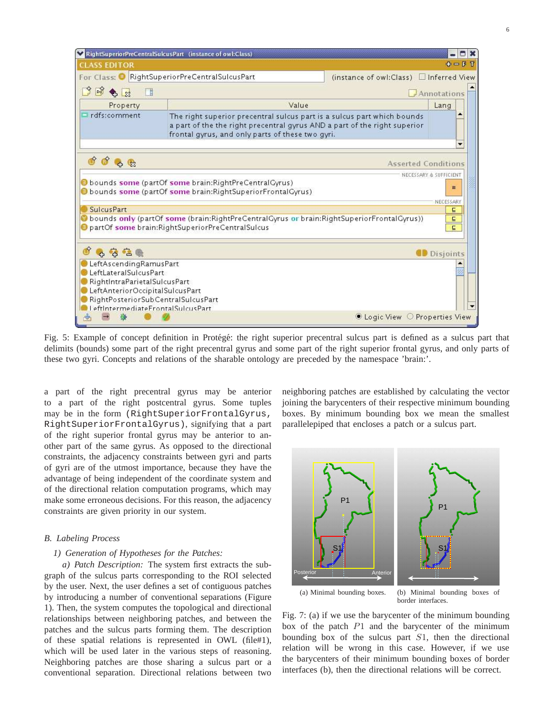

Fig. 5: Example of concept definition in Protégé: the right superior precentral sulcus part is defined as a sulcus part that delimits (bounds) some part of the right precentral gyrus and some part of the right superior frontal gyrus, and only parts of these two gyri. Concepts and relations of the sharable ontology are preceded by the namespace 'brain:'.

a part of the right precentral gyrus may be anterior to a part of the right postcentral gyrus. Some tuples may be in the form (RightSuperiorFrontalGyrus, RightSuperiorFrontalGyrus), signifying that a part of the right superior frontal gyrus may be anterior to another part of the same gyrus. As opposed to the directional constraints, the adjacency constraints between gyri and parts of gyri are of the utmost importance, because they have the advantage of being independent of the coordinate system and of the directional relation computation programs, which may make some erroneous decisions. For this reason, the adjacency constraints are given priority in our system.

# *B. Labeling Process*

## *1) Generation of Hypotheses for the Patches:*

*a) Patch Description:* The system first extracts the subgraph of the sulcus parts corresponding to the ROI selected by the user. Next, the user defines a set of contiguous patches by introducing a number of conventional separations (Figure 1). Then, the system computes the topological and directional relationships between neighboring patches, and between the patches and the sulcus parts forming them. The description of these spatial relations is represented in OWL (file#1), which will be used later in the various steps of reasoning. Neighboring patches are those sharing a sulcus part or a conventional separation. Directional relations between two

neighboring patches are established by calculating the vector joining the barycenters of their respective minimum bounding boxes. By minimum bounding box we mean the smallest parallelepiped that encloses a patch or a sulcus part.



(a) Minimal bounding boxes. (b) Minimal bounding boxes of border interfaces.

Fig. 7: (a) if we use the barycenter of the minimum bounding box of the patch P1 and the barycenter of the minimum bounding box of the sulcus part  $S1$ , then the directional relation will be wrong in this case. However, if we use the barycenters of their minimum bounding boxes of border interfaces (b), then the directional relations will be correct.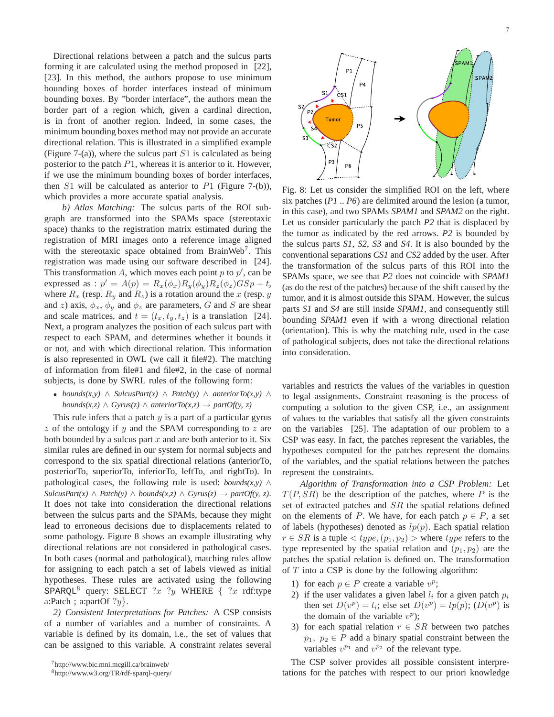Directional relations between a patch and the sulcus parts forming it are calculated using the method proposed in [22], [23]. In this method, the authors propose to use minimum bounding boxes of border interfaces instead of minimum bounding boxes. By "border interface", the authors mean the border part of a region which, given a cardinal direction, is in front of another region. Indeed, in some cases, the minimum bounding boxes method may not provide an accurate directional relation. This is illustrated in a simplified example (Figure 7-(a)), where the sulcus part  $S1$  is calculated as being posterior to the patch P1, whereas it is anterior to it. However, if we use the minimum bounding boxes of border interfaces, then  $S1$  will be calculated as anterior to  $P1$  (Figure 7-(b)), which provides a more accurate spatial analysis.

*b) Atlas Matching:* The sulcus parts of the ROI subgraph are transformed into the SPAMs space (stereotaxic space) thanks to the registration matrix estimated during the registration of MRI images onto a reference image aligned with the stereotaxic space obtained from BrainWeb<sup>7</sup>. This registration was made using our software described in [24]. This transformation A, which moves each point  $p$  to  $p'$ , can be expressed as :  $p' = A(p) = R_x(\phi_x)R_y(\phi_y)R_z(\phi_z)GSp + t$ , where  $R_x$  (resp.  $R_y$  and  $R_z$ ) is a rotation around the x (resp. y and z) axis,  $\phi_x$ ,  $\phi_y$  and  $\phi_z$  are parameters, G and S are shear and scale matrices, and  $t = (t_x, t_y, t_z)$  is a translation [24]. Next, a program analyzes the position of each sulcus part with respect to each SPAM, and determines whether it bounds it or not, and with which directional relation. This information is also represented in OWL (we call it file#2). The matching of information from file#1 and file#2, in the case of normal subjects, is done by SWRL rules of the following form:

• *bounds(x,y)* ∧ *SulcusPart(x)* ∧ *Patch(y)* ∧ *anteriorTo(x,y)* ∧ *bounds(x,z)* ∧ *Gyrus(z)* ∧ *anteriorTo(x,z)* → *partOf(y, z)* 

This rule infers that a patch  $y$  is a part of a particular gyrus  $z$  of the ontology if  $y$  and the SPAM corresponding to  $z$  are both bounded by a sulcus part  $x$  and are both anterior to it. Six similar rules are defined in our system for normal subjects and correspond to the six spatial directional relations (anteriorTo, posteriorTo, superiorTo, inferiorTo, leftTo, and rightTo). In pathological cases, the following rule is used: *bounds(x,y)*  $\wedge$ *SulcusPart(x)* ∧ *Patch(y)* ∧ *bounds(x,z)* ∧ *Gyrus(z)* → *partOf(y, z)*. It does not take into consideration the directional relations between the sulcus parts and the SPAMs, because they might lead to erroneous decisions due to displacements related to some pathology. Figure 8 shows an example illustrating why directional relations are not considered in pathological cases. In both cases (normal and pathological), matching rules allow for assigning to each patch a set of labels viewed as initial hypotheses. These rules are activated using the following SPARQL<sup>8</sup> query: SELECT ?x ?y WHERE { ?x rdf:type a:Patch; a:partOf  $?y$ .

*2) Consistent Interpretations for Patches:* A CSP consists of a number of variables and a number of constraints. A variable is defined by its domain, i.e., the set of values that can be assigned to this variable. A constraint relates several





Fig. 8: Let us consider the simplified ROI on the left, where six patches (*P1* .. *P6*) are delimited around the lesion (a tumor, in this case), and two SPAMs *SPAM1* and *SPAM2* on the right. Let us consider particularly the patch *P2* that is displaced by the tumor as indicated by the red arrows. *P2* is bounded by the sulcus parts *S1*, *S2*, *S3* and *S4*. It is also bounded by the conventional separations *CS1* and *CS2* added by the user. After the transformation of the sulcus parts of this ROI into the SPAMs space, we see that *P2* does not coincide with *SPAM1* (as do the rest of the patches) because of the shift caused by the tumor, and it is almost outside this SPAM. However, the sulcus parts *S1* and *S4* are still inside *SPAM1*, and consequently still bounding *SPAM1* even if with a wrong directional relation (orientation). This is why the matching rule, used in the case of pathological subjects, does not take the directional relations into consideration.

variables and restricts the values of the variables in question to legal assignments. Constraint reasoning is the process of computing a solution to the given CSP, i.e., an assignment of values to the variables that satisfy all the given constraints on the variables [25]. The adaptation of our problem to a CSP was easy. In fact, the patches represent the variables, the hypotheses computed for the patches represent the domains of the variables, and the spatial relations between the patches represent the constraints.

*Algorithm of Transformation into a CSP Problem:* Let  $T(P, SR)$  be the description of the patches, where P is the set of extracted patches and SR the spatial relations defined on the elements of P. We have, for each patch  $p \in P$ , a set of labels (hypotheses) denoted as  $lp(p)$ . Each spatial relation  $r \in SR$  is a tuple  $\langle type, (p_1, p_2) \rangle$  where type refers to the type represented by the spatial relation and  $(p_1, p_2)$  are the patches the spatial relation is defined on. The transformation of  $T$  into a CSP is done by the following algorithm:

- 1) for each  $p \in P$  create a variable  $v^p$ ;
- 2) if the user validates a given label  $l_i$  for a given patch  $p_i$ then set  $D(v^p) = l_i$ ; else set  $D(v^p) = lp(p)$ ;  $(D(v^p))$  is the domain of the variable  $v^p$ );
- 3) for each spatial relation  $r \in SR$  between two patches  $p_1, p_2 \in P$  add a binary spatial constraint between the variables  $v^{p_1}$  and  $v^{p_2}$  of the relevant type.

The CSP solver provides all possible consistent interpretations for the patches with respect to our priori knowledge

<sup>7</sup>http://www.bic.mni.mcgill.ca/brainweb/

<sup>8</sup>http://www.w3.org/TR/rdf-sparql-query/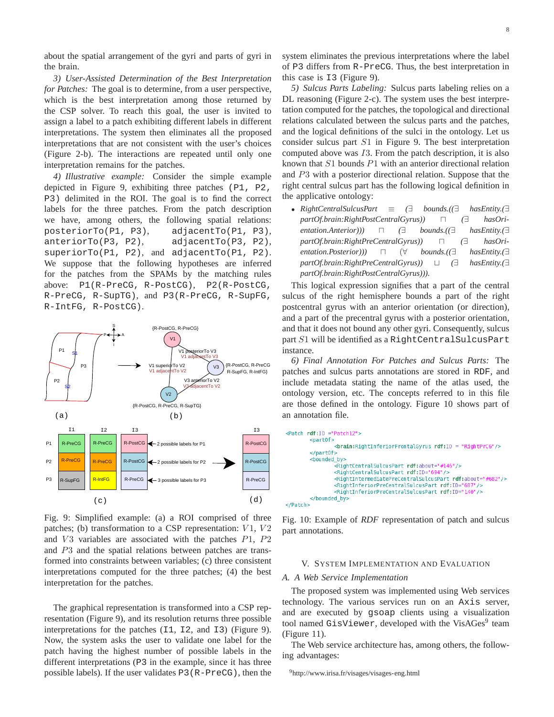about the spatial arrangement of the gyri and parts of gyri in the brain.

*3) User-Assisted Determination of the Best Interpretation for Patches:* The goal is to determine, from a user perspective, which is the best interpretation among those returned by the CSP solver. To reach this goal, the user is invited to assign a label to a patch exhibiting different labels in different interpretations. The system then eliminates all the proposed interpretations that are not consistent with the user's choices (Figure 2-b). The interactions are repeated until only one interpretation remains for the patches.

*4) Illustrative example:* Consider the simple example depicted in Figure 9, exhibiting three patches (P1, P2, P3) delimited in the ROI. The goal is to find the correct labels for the three patches. From the patch description we have, among others, the following spatial relations: posteriorTo(P1, P3), adjacentTo(P1, P3), anteriorTo(P3, P2), adjacentTo(P3, P2), superiorTo(P1, P2), and adjacentTo(P1, P2). We suppose that the following hypotheses are inferred for the patches from the SPAMs by the matching rules above: P1(R-PreCG, R-PostCG), P2(R-PostCG, R-PreCG, R-SupTG), and P3(R-PreCG, R-SupFG, R-IntFG, R-PostCG).



Fig. 9: Simplified example: (a) a ROI comprised of three patches; (b) transformation to a CSP representation:  $V1$ ,  $V2$ and  $V3$  variables are associated with the patches  $P1$ ,  $P2$ and P3 and the spatial relations between patches are transformed into constraints between variables; (c) three consistent interpretations computed for the three patches; (4) the best interpretation for the patches.

The graphical representation is transformed into a CSP representation (Figure 9), and its resolution returns three possible interpretations for the patches (I1, I2, and I3) (Figure 9). Now, the system asks the user to validate one label for the patch having the highest number of possible labels in the different interpretations (P3 in the example, since it has three possible labels). If the user validates P3(R-PreCG), then the system eliminates the previous interpretations where the label of P3 differs from R-PreCG. Thus, the best interpretation in this case is I3 (Figure 9).

*5) Sulcus Parts Labeling:* Sulcus parts labeling relies on a DL reasoning (Figure 2-c). The system uses the best interpretation computed for the patches, the topological and directional relations calculated between the sulcus parts and the patches, and the logical definitions of the sulci in the ontology. Let us consider sulcus part S1 in Figure 9. The best interpretation computed above was  $I3$ . From the patch description, it is also known that S1 bounds P1 with an anterior directional relation and P3 with a posterior directional relation. Suppose that the right central sulcus part has the following logical definition in the applicative ontology:

• *RightCentralSulcusPart* ≡ *(*∃ *bounds.((*∃ *hasEntity.(*∃ *partOf.brain:RightPostCentralGyrus))* ⊓ *(*∃ *hasOrientation.Anterior)))* ⊓ *(*∃ *bounds.((*∃ *hasEntity.(*∃ *partOf.brain:RightPreCentralGyrus))* ⊓ *(*∃ *hasOrientation.Posterior)))* ⊓ (∀ *bounds.((*∃ *hasEntity.(*∃ *partOf.brain:RightPreCentralGyrus))* ⊔ *(*∃ *hasEntity.(*∃ *partOf.brain:RightPostCentralGyrus))).*

This logical expression signifies that a part of the central sulcus of the right hemisphere bounds a part of the right postcentral gyrus with an anterior orientation (or direction), and a part of the precentral gyrus with a posterior orientation, and that it does not bound any other gyri. Consequently, sulcus part S1 will be identified as a RightCentralSulcusPart instance.

*6) Final Annotation For Patches and Sulcus Parts:* The patches and sulcus parts annotations are stored in RDF, and include metadata stating the name of the atlas used, the ontology version, etc. The concepts referred to in this file are those defined in the ontology. Figure 10 shows part of an annotation file.

```
<Patch rdf:ID ="Patch12">
        <part0f>
                <brain:RightInferiorFrontalGyrus rdf:ID = "RightPrCG"/>
        \frac{2}{\pi}<bounded_by>
                <RightCentralSulcusPart rdf:about="#146"/>
                <BightCentralSulcusPart rdf:ID="694"/>
                <RightIntermediatePreCentralSulcusPart rdf:about="#682"/>
                <RightInferiorPreCentralSulcusPart rdf:ID="6
                <RightInferiorPreCentralSulcusPart rdf:ID="140"/>
        \le/bounded by>
</Patch>
```
Fig. 10: Example of *RDF* representation of patch and sulcus part annotations.

### V. SYSTEM IMPLEMENTATION AND EVALUATION

### *A. A Web Service Implementation*

The proposed system was implemented using Web services technology. The various services run on an Axis server, and are executed by gsoap clients using a visualization tool named GisViewer, developed with the VisAGes<sup>9</sup> team (Figure 11).

The Web service architecture has, among others, the following advantages:

<sup>9</sup>http://www.irisa.fr/visages/visages-eng.html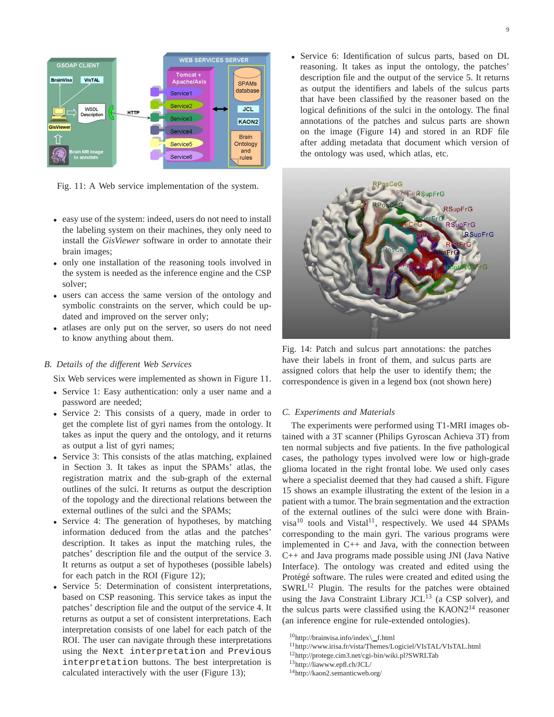

Fig. 11: A Web service implementation of the system.

- easy use of the system: indeed, users do not need to install the labeling system on their machines, they only need to install the *GisViewer* software in order to annotate their brain images;
- only one installation of the reasoning tools involved in the system is needed as the inference engine and the CSP solver;
- users can access the same version of the ontology and symbolic constraints on the server, which could be updated and improved on the server only;
- atlases are only put on the server, so users do not need to know anything about them.

### *B. Details of the different Web Services*

Six Web services were implemented as shown in Figure 11.

- Service 1: Easy authentication: only a user name and a password are needed;
- Service 2: This consists of a query, made in order to get the complete list of gyri names from the ontology. It takes as input the query and the ontology, and it returns as output a list of gyri names;
- Service 3: This consists of the atlas matching, explained in Section 3. It takes as input the SPAMs' atlas, the registration matrix and the sub-graph of the external outlines of the sulci. It returns as output the description of the topology and the directional relations between the external outlines of the sulci and the SPAMs;
- Service 4: The generation of hypotheses, by matching information deduced from the atlas and the patches' description. It takes as input the matching rules, the patches' description file and the output of the service 3. It returns as output a set of hypotheses (possible labels) for each patch in the ROI (Figure 12);
- Service 5: Determination of consistent interpretations, based on CSP reasoning. This service takes as input the patches' description file and the output of the service 4. It returns as output a set of consistent interpretations. Each interpretation consists of one label for each patch of the ROI. The user can navigate through these interpretations using the Next interpretation and Previous interpretation buttons. The best interpretation is calculated interactively with the user (Figure 13);

Service 6: Identification of sulcus parts, based on DL reasoning. It takes as input the ontology, the patches' description file and the output of the service 5. It returns as output the identifiers and labels of the sulcus parts that have been classified by the reasoner based on the logical definitions of the sulci in the ontology. The final annotations of the patches and sulcus parts are shown on the image (Figure 14) and stored in an RDF file after adding metadata that document which version of the ontology was used, which atlas, etc.



Fig. 14: Patch and sulcus part annotations: the patches have their labels in front of them, and sulcus parts are assigned colors that help the user to identify them; the correspondence is given in a legend box (not shown here)

#### *C. Experiments and Materials*

The experiments were performed using T1-MRI images obtained with a 3T scanner (Philips Gyroscan Achieva 3T) from ten normal subjects and five patients. In the five pathological cases, the pathology types involved were low or high-grade glioma located in the right frontal lobe. We used only cases where a specialist deemed that they had caused a shift. Figure 15 shows an example illustrating the extent of the lesion in a patient with a tumor. The brain segmentation and the extraction of the external outlines of the sulci were done with Brain $visa<sup>10</sup>$  tools and Vistal<sup>11</sup>, respectively. We used 44 SPAMs corresponding to the main gyri. The various programs were implemented in C++ and Java, with the connection between C++ and Java programs made possible using JNI (Java Native Interface). The ontology was created and edited using the Protégé software. The rules were created and edited using the SWRL<sup>12</sup> Plugin. The results for the patches were obtained using the Java Constraint Library JCL<sup>13</sup> (a CSP solver), and the sulcus parts were classified using the  $KAON2^{14}$  reasoner (an inference engine for rule-extended ontologies).

<sup>10</sup>http://brainvisa.info/index\ f.html

<sup>11</sup>http://www.irisa.fr/vista/Themes/Logiciel/VIsTAL/VIsTAL.html

<sup>12</sup>http://protege.cim3.net/cgi-bin/wiki.pl?SWRLTab

<sup>13</sup>http://liawww.epfl.ch/JCL/

<sup>14</sup>http://kaon2.semanticweb.org/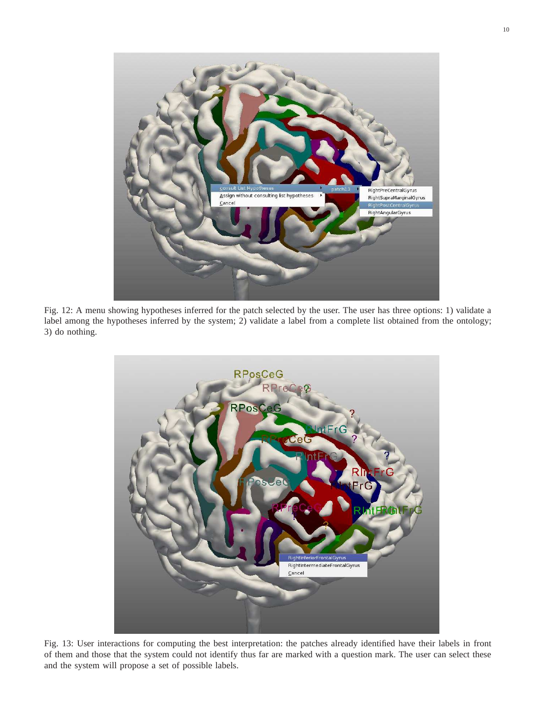

Fig. 12: A menu showing hypotheses inferred for the patch selected by the user. The user has three options: 1) validate a label among the hypotheses inferred by the system; 2) validate a label from a complete list obtained from the ontology; 3) do nothing.



Fig. 13: User interactions for computing the best interpretation: the patches already identified have their labels in front of them and those that the system could not identify thus far are marked with a question mark. The user can select these and the system will propose a set of possible labels.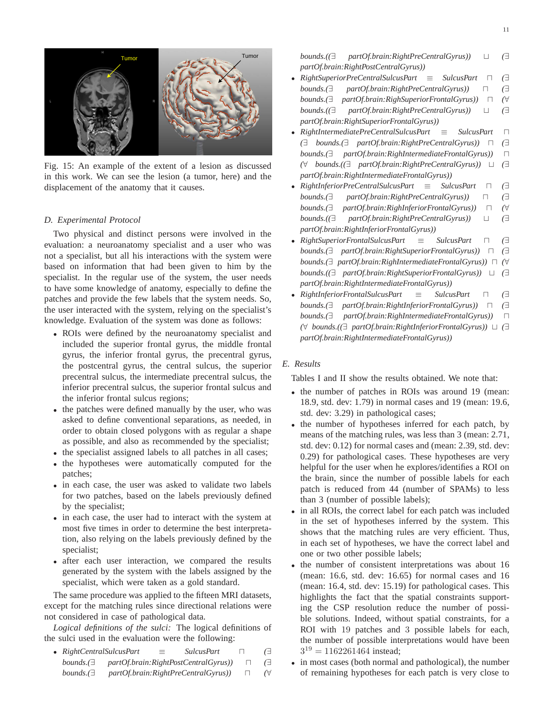

Fig. 15: An example of the extent of a lesion as discussed in this work. We can see the lesion (a tumor, here) and the displacement of the anatomy that it causes.

### *D. Experimental Protocol*

Two physical and distinct persons were involved in the evaluation: a neuroanatomy specialist and a user who was not a specialist, but all his interactions with the system were based on information that had been given to him by the specialist. In the regular use of the system, the user needs to have some knowledge of anatomy, especially to define the patches and provide the few labels that the system needs. So, the user interacted with the system, relying on the specialist's knowledge. Evaluation of the system was done as follows:

- ROIs were defined by the neuroanatomy specialist and included the superior frontal gyrus, the middle frontal gyrus, the inferior frontal gyrus, the precentral gyrus, the postcentral gyrus, the central sulcus, the superior precentral sulcus, the intermediate precentral sulcus, the inferior precentral sulcus, the superior frontal sulcus and the inferior frontal sulcus regions;
- the patches were defined manually by the user, who was asked to define conventional separations, as needed, in order to obtain closed polygons with as regular a shape as possible, and also as recommended by the specialist;
- the specialist assigned labels to all patches in all cases;
- the hypotheses were automatically computed for the patches;
- in each case, the user was asked to validate two labels for two patches, based on the labels previously defined by the specialist;
- in each case, the user had to interact with the system at most five times in order to determine the best interpretation, also relying on the labels previously defined by the specialist;
- after each user interaction, we compared the results generated by the system with the labels assigned by the specialist, which were taken as a gold standard.

The same procedure was applied to the fifteen MRI datasets, except for the matching rules since directional relations were not considered in case of pathological data.

*Logical definitions of the sulci:* The logical definitions of the sulci used in the evaluation were the following:

- *RightCentralSulcusPart* ≡ *SulcusPart* ⊓ *(*∃
- *bounds.(*∃ *partOf.brain:RightPostCentralGyrus))* ⊓ *(*∃ *bounds.(*∃ *partOf.brain:RightPreCentralGyrus))* ⊓ *(*∀

*bounds.((*∃ *partOf.brain:RightPreCentralGyrus))* ⊔ *(*∃ *partOf.brain:RightPostCentralGyrus))*

- *RightSuperiorPreCentralSulcusPart* ≡ *SulcusPart* ⊓ *(*∃ *bounds.(*∃ *partOf.brain:RightPreCentralGyrus))* ⊓ *(*∃ *bounds.(*∃ *partOf.brain:RighSuperiorFrontalGyrus))* ⊓ *(*∀ *bounds.((*∃ *partOf.brain:RightPreCentralGyrus))* ⊔ *(*∃ *partOf.brain:RightSuperiorFrontalGyrus))*
- *RightIntermediatePreCentralSulcusPart* ≡ *SulcusPart* ⊓ *(*∃ *bounds.(*∃ *partOf.brain:RightPreCentralGyrus))* ⊓ *(*∃ *bounds.(*∃ *partOf.brain:RighIntermediateFrontalGyrus))* ⊓ *(*∀ *bounds.((*∃ *partOf.brain:RightPreCentralGyrus))* ⊔ *(*∃ *partOf.brain:RightIntermediateFrontalGyrus))*
- *RightInferiorPreCentralSulcusPart* ≡ *SulcusPart* ⊓ *(*∃ *bounds.(*∃ *partOf.brain:RightPreCentralGyrus))* ⊓ *(*∃ *bounds.(*∃ *partOf.brain:RighInferiorFrontalGyrus))* ⊓ *(*∀ *bounds.((*∃ *partOf.brain:RightPreCentralGyrus))* ⊔ *(*∃ *partOf.brain:RightInferiorFrontalGyrus))*
- *RightSuperiorFrontalSulcusPart* ≡ *SulcusPart* ⊓ *(*∃ *bounds.(*∃ *partOf.brain:RightSuperiorFrontalGyrus))* ⊓ *(*∃ *bounds.(*∃ *partOf.brain:RighIntermediateFrontalGyrus))* ⊓ *(*∀ *bounds.((*∃ *partOf.brain:RightSuperiorFrontalGyrus))* ⊔ *(*∃ *partOf.brain:RightIntermediateFrontalGyrus))*
- *RightInferiorFrontalSulcusPart* ≡ *SulcusPart* ⊓ *(*∃ *bounds.(*∃ *partOf.brain:RightInferiorFrontalGyrus))* ⊓ *(*∃ *bounds.(*∃ *partOf.brain:RighIntermediateFrontalGyrus))* ⊓ *(*∀ *bounds.((*∃ *partOf.brain:RightInferiorFrontalGyrus))* ⊔ *(*∃ *partOf.brain:RightIntermediateFrontalGyrus))*

# *E. Results*

Tables I and II show the results obtained. We note that:

- the number of patches in ROIs was around 19 (mean: 18.9, std. dev: 1.79) in normal cases and 19 (mean: 19.6, std. dev: 3.29) in pathological cases;
- the number of hypotheses inferred for each patch, by means of the matching rules, was less than 3 (mean: 2.71, std. dev: 0.12) for normal cases and (mean: 2.39, std. dev: 0.29) for pathological cases. These hypotheses are very helpful for the user when he explores/identifies a ROI on the brain, since the number of possible labels for each patch is reduced from 44 (number of SPAMs) to less than 3 (number of possible labels);
- in all ROIs, the correct label for each patch was included in the set of hypotheses inferred by the system. This shows that the matching rules are very efficient. Thus, in each set of hypotheses, we have the correct label and one or two other possible labels;
- the number of consistent interpretations was about 16 (mean: 16.6, std. dev: 16.65) for normal cases and 16 (mean: 16.4, std. dev: 15.19) for pathological cases. This highlights the fact that the spatial constraints supporting the CSP resolution reduce the number of possible solutions. Indeed, without spatial constraints, for a ROI with 19 patches and 3 possible labels for each, the number of possible interpretations would have been  $3^{19} = 1162261464$  instead;
- in most cases (both normal and pathological), the number of remaining hypotheses for each patch is very close to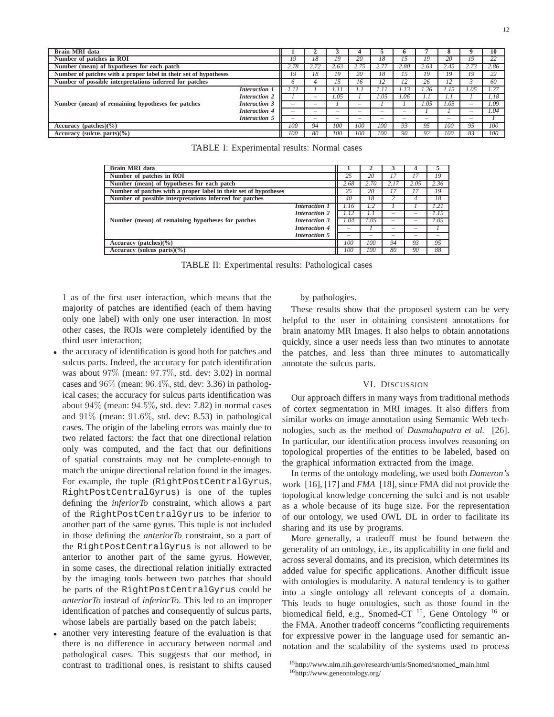| <b>Brain MRI</b> data                                            |                      |        |                          |                   |     |        | o                        |                           |              |                     | 10          |
|------------------------------------------------------------------|----------------------|--------|--------------------------|-------------------|-----|--------|--------------------------|---------------------------|--------------|---------------------|-------------|
| Number of patches in ROI                                         |                      | 19     | 18                       | 19                | 20  | 18     |                          | 19                        | 20           | 19                  | 22          |
| Number (mean) of hypotheses for each patch                       |                      | 2.78   |                          | 2.65              |     |        | 2.80                     | 2.63                      | 2.45         |                     | 2.86        |
| Number of patches with a proper label in their set of hypotheses | 19                   | 18     | 19                       | 20                | 18  | 15     | 19                       | 19                        | 19           | $\mathcal{L}$<br>∠∠ |             |
| Number of possible interpretations inferred for patches          |                      | O      |                          |                   | 16  | 14     | 12                       | 26                        | 12           |                     | 60          |
|                                                                  | <i>Interaction</i>   | 1.11   |                          | 1.1.              |     | 1.11   | !. 13                    | 26                        | 1.15         | .05                 | $\sqrt{27}$ |
|                                                                  | Interaction 2        |        |                          | $1.\overline{05}$ |     | 1.05   | 1.06                     | $^{\prime}$ . $^{\prime}$ |              |                     | 1.18        |
| Number (mean) of remaining hypotheses for patches                | Interaction 3        | $\sim$ | $\overline{\phantom{a}}$ |                   | -   |        |                          | 1.05                      | 1.05         |                     | I.O9        |
|                                                                  | <b>Interaction 4</b> | $\sim$ | $\sim$                   | $\sim$            | -   | $\sim$ | $-$                      |                           |              | -                   | 1.04        |
|                                                                  | Interaction 5        | $\sim$ | $\sim$                   |                   |     |        | $\overline{\phantom{a}}$ | $\sim$                    | <b>STATE</b> | $-$                 |             |
| Accuracy (patches) $(\frac{6}{6})$                               |                      | 100    | 94                       | 100               | 100 | 100    | 93                       | 95                        | 100          | 95                  | 100         |
| Accuracy (sulcus parts) $(\frac{9}{6})$                          |                      | 100    | 80                       | 100               | 100 | 100    | 90                       | 92                        | 100          | 83                  | 100         |

| Brain MRI data                                                   |               |      |      |                          |      |      |
|------------------------------------------------------------------|---------------|------|------|--------------------------|------|------|
| Number of patches in ROI                                         |               |      | 20   |                          |      | 19   |
| Number (mean) of hypotheses for each patch                       |               | 2.68 | 2.70 | 2. 17                    | 2.05 | 2.36 |
| Number of patches with a proper label in their set of hypotheses |               | 25   | 20   |                          |      | 19   |
| Number of possible interpretations inferred for patches          |               | 40   | 18   |                          |      | 18   |
|                                                                  | Interaction 1 | !.16 |      |                          |      | 1.21 |
|                                                                  | Interaction 2 |      |      |                          |      | 1.15 |
| Number (mean) of remaining hypotheses for patches                | Interaction 3 | 04   | 1.05 | $\overline{\phantom{a}}$ |      | 1.05 |

|  |  |  |  |  | TABLE I: Experimental results: Normal cases |  |  |  |  |
|--|--|--|--|--|---------------------------------------------|--|--|--|--|
|--|--|--|--|--|---------------------------------------------|--|--|--|--|

**Accuracy (sulcus parts)(%)** *100 100 80 90 88* TABLE II: Experimental results: Pathological cases

**Accuracy (patches)(%)** *100 100 94 93 95*

1 as of the first user interaction, which means that the majority of patches are identified (each of them having only one label) with only one user interaction. In most other cases, the ROIs were completely identified by the third user interaction;

- the accuracy of identification is good both for patches and sulcus parts. Indeed, the accuracy for patch identification was about 97% (mean: 97.7%, std. dev: 3.02) in normal cases and  $96\%$  (mean:  $96.4\%$ , std. dev: 3.36) in pathological cases; the accuracy for sulcus parts identification was about  $94\%$  (mean:  $94.5\%$ , std. dev: 7.82) in normal cases and 91% (mean: 91.6%, std. dev: 8.53) in pathological cases. The origin of the labeling errors was mainly due to two related factors: the fact that one directional relation only was computed, and the fact that our definitions of spatial constraints may not be complete-enough to match the unique directional relation found in the images. For example, the tuple (RightPostCentralGyrus, RightPostCentralGyrus) is one of the tuples defining the *inferiorTo* constraint, which allows a part of the RightPostCentralGyrus to be inferior to another part of the same gyrus. This tuple is not included in those defining the *anteriorTo* constraint, so a part of the RightPostCentralGyrus is not allowed to be anterior to another part of the same gyrus. However, in some cases, the directional relation initially extracted by the imaging tools between two patches that should be parts of the RightPostCentralGyrus could be *anteriorTo* instead of *inferiorTo*. This led to an improper identification of patches and consequently of sulcus parts, whose labels are partially based on the patch labels;
- another very interesting feature of the evaluation is that there is no difference in accuracy between normal and pathological cases. This suggests that our method, in contrast to traditional ones, is resistant to shifts caused

# by pathologies.

*Interaction 4 – 1 – – 1*

These results show that the proposed system can be very helpful to the user in obtaining consistent annotations for brain anatomy MR Images. It also helps to obtain annotations quickly, since a user needs less than two minutes to annotate the patches, and less than three minutes to automatically annotate the sulcus parts.

*Interaction 5 – – – – –*

#### VI. DISCUSSION

Our approach differs in many ways from traditional methods of cortex segmentation in MRI images. It also differs from similar works on image annotation using Semantic Web technologies, such as the method of *Dasmahapatra et al.* [26]. In particular, our identification process involves reasoning on topological properties of the entities to be labeled, based on the graphical information extracted from the image.

In terms of the ontology modeling, we used both *Dameron's* work [16], [17] and *FMA* [18], since FMA did not provide the topological knowledge concerning the sulci and is not usable as a whole because of its huge size. For the representation of our ontology, we used OWL DL in order to facilitate its sharing and its use by programs.

More generally, a tradeoff must be found between the generality of an ontology, i.e., its applicability in one field and across several domains, and its precision, which determines its added value for specific applications. Another difficult issue with ontologies is modularity. A natural tendency is to gather into a single ontology all relevant concepts of a domain. This leads to huge ontologies, such as those found in the biomedical field, e.g., Snomed-CT  $^{15}$ , Gene Ontology  $^{16}$  or the FMA. Another tradeoff concerns "conflicting requirements for expressive power in the language used for semantic annotation and the scalability of the systems used to process

<sup>&</sup>lt;sup>15</sup>http://www.nlm.nih.gov/research/umls/Snomed/snomed\_main.html <sup>16</sup>http://www.geneontology.org/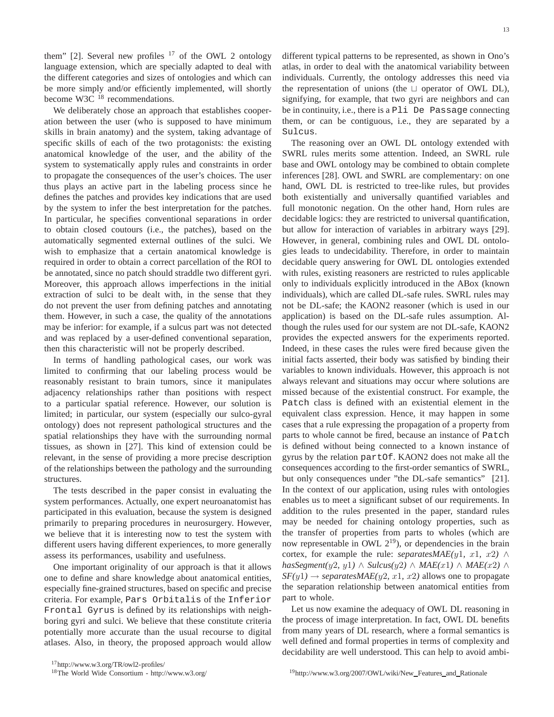them"  $[2]$ . Several new profiles  $^{17}$  of the OWL 2 ontology language extension, which are specially adapted to deal with the different categories and sizes of ontologies and which can be more simply and/or efficiently implemented, will shortly become W3C <sup>18</sup> recommendations.

We deliberately chose an approach that establishes cooperation between the user (who is supposed to have minimum skills in brain anatomy) and the system, taking advantage of specific skills of each of the two protagonists: the existing anatomical knowledge of the user, and the ability of the system to systematically apply rules and constraints in order to propagate the consequences of the user's choices. The user thus plays an active part in the labeling process since he defines the patches and provides key indications that are used by the system to infer the best interpretation for the patches. In particular, he specifies conventional separations in order to obtain closed coutours (i.e., the patches), based on the automatically segmented external outlines of the sulci. We wish to emphasize that a certain anatomical knowledge is required in order to obtain a correct parcellation of the ROI to be annotated, since no patch should straddle two different gyri. Moreover, this approach allows imperfections in the initial extraction of sulci to be dealt with, in the sense that they do not prevent the user from defining patches and annotating them. However, in such a case, the quality of the annotations may be inferior: for example, if a sulcus part was not detected and was replaced by a user-defined conventional separation, then this characteristic will not be properly described.

In terms of handling pathological cases, our work was limited to confirming that our labeling process would be reasonably resistant to brain tumors, since it manipulates adjacency relationships rather than positions with respect to a particular spatial reference. However, our solution is limited; in particular, our system (especially our sulco-gyral ontology) does not represent pathological structures and the spatial relationships they have with the surrounding normal tissues, as shown in [27]. This kind of extension could be relevant, in the sense of providing a more precise description of the relationships between the pathology and the surrounding structures.

The tests described in the paper consist in evaluating the system performances. Actually, one expert neuroanatomist has participated in this evaluation, because the system is designed primarily to preparing procedures in neurosurgery. However, we believe that it is interesting now to test the system with different users having different experiences, to more generally assess its performances, usability and usefulness.

One important originality of our approach is that it allows one to define and share knowledge about anatomical entities, especially fine-grained structures, based on specific and precise criteria. For example, Pars Orbitalis of the Inferior Frontal Gyrus is defined by its relationships with neighboring gyri and sulci. We believe that these constitute criteria potentially more accurate than the usual recourse to digital atlases. Also, in theory, the proposed approach would allow different typical patterns to be represented, as shown in Ono's atlas, in order to deal with the anatomical variability between individuals. Currently, the ontology addresses this need via the representation of unions (the ⊔ operator of OWL DL), signifying, for example, that two gyri are neighbors and can be in continuity, i.e., there is a Pli De Passage connecting them, or can be contiguous, i.e., they are separated by a Sulcus.

The reasoning over an OWL DL ontology extended with SWRL rules merits some attention. Indeed, an SWRL rule base and OWL ontology may be combined to obtain complete inferences [28]. OWL and SWRL are complementary: on one hand, OWL DL is restricted to tree-like rules, but provides both existentially and universally quantified variables and full monotonic negation. On the other hand, Horn rules are decidable logics: they are restricted to universal quantification, but allow for interaction of variables in arbitrary ways [29]. However, in general, combining rules and OWL DL ontologies leads to undecidability. Therefore, in order to maintain decidable query answering for OWL DL ontologies extended with rules, existing reasoners are restricted to rules applicable only to individuals explicitly introduced in the ABox (known individuals), which are called DL-safe rules. SWRL rules may not be DL-safe; the KAON2 reasoner (which is used in our application) is based on the DL-safe rules assumption. Although the rules used for our system are not DL-safe, KAON2 provides the expected answers for the experiments reported. Indeed, in these cases the rules were fired because given the initial facts asserted, their body was satisfied by binding their variables to known individuals. However, this approach is not always relevant and situations may occur where solutions are missed because of the existential construct. For example, the Patch class is defined with an existential element in the equivalent class expression. Hence, it may happen in some cases that a rule expressing the propagation of a property from parts to whole cannot be fired, because an instance of Patch is defined without being connected to a known instance of gyrus by the relation partOf. KAON2 does not make all the consequences according to the first-order semantics of SWRL, but only consequences under "the DL-safe semantics" [21]. In the context of our application, using rules with ontologies enables us to meet a significant subset of our requirements. In addition to the rules presented in the paper, standard rules may be needed for chaining ontology properties, such as the transfer of properties from parts to wholes (which are now representable in OWL  $2^{19}$ ), or dependencies in the brain cortex, for example the rule: *separatesMAE(y1, x1, x2)*  $\wedge$ *hasSegment*(y2*,* y1) ∧ *Sulcus*(y2) ∧ *MAE*(x1) ∧ *MAE*(x2) ∧  $SF(y1) \rightarrow separatesMAE(y2, x1, x2)$  allows one to propagate the separation relationship between anatomical entities from part to whole.

Let us now examine the adequacy of OWL DL reasoning in the process of image interpretation. In fact, OWL DL benefits from many years of DL research, where a formal semantics is well defined and formal properties in terms of complexity and decidability are well understood. This can help to avoid ambi-

<sup>17</sup>http://www.w3.org/TR/owl2-profiles/

<sup>18</sup>The World Wide Consortium - http://www.w3.org/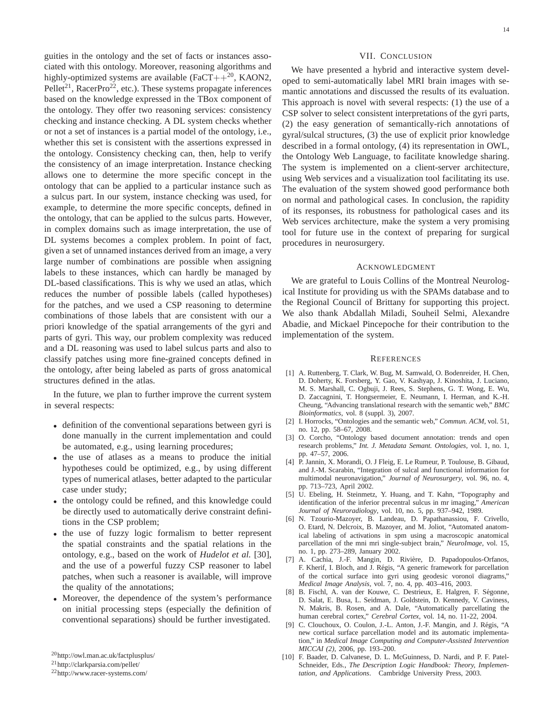guities in the ontology and the set of facts or instances associated with this ontology. Moreover, reasoning algorithms and highly-optimized systems are available (FaCT++ $^{20}$ , KAON2, Pellet<sup>21</sup>, RacerPro<sup>22</sup>, etc.). These systems propagate inferences based on the knowledge expressed in the TBox component of the ontology. They offer two reasoning services: consistency checking and instance checking. A DL system checks whether or not a set of instances is a partial model of the ontology, i.e., whether this set is consistent with the assertions expressed in the ontology. Consistency checking can, then, help to verify the consistency of an image interpretation. Instance checking allows one to determine the more specific concept in the ontology that can be applied to a particular instance such as a sulcus part. In our system, instance checking was used, for example, to determine the more specific concepts, defined in the ontology, that can be applied to the sulcus parts. However, in complex domains such as image interpretation, the use of DL systems becomes a complex problem. In point of fact, given a set of unnamed instances derived from an image, a very large number of combinations are possible when assigning labels to these instances, which can hardly be managed by DL-based classifications. This is why we used an atlas, which reduces the number of possible labels (called hypotheses) for the patches, and we used a CSP reasoning to determine combinations of those labels that are consistent with our a priori knowledge of the spatial arrangements of the gyri and parts of gyri. This way, our problem complexity was reduced and a DL reasoning was used to label sulcus parts and also to classify patches using more fine-grained concepts defined in the ontology, after being labeled as parts of gross anatomical structures defined in the atlas.

In the future, we plan to further improve the current system in several respects:

- definition of the conventional separations between gyri is done manually in the current implementation and could be automated, e.g., using learning procedures;
- the use of atlases as a means to produce the initial hypotheses could be optimized, e.g., by using different types of numerical atlases, better adapted to the particular case under study;
- the ontology could be refined, and this knowledge could be directly used to automatically derive constraint definitions in the CSP problem;
- the use of fuzzy logic formalism to better represent the spatial constraints and the spatial relations in the ontology, e.g., based on the work of *Hudelot et al.* [30], and the use of a powerful fuzzy CSP reasoner to label patches, when such a reasoner is available, will improve the quality of the annotations;
- Moreover, the dependence of the system's performance on initial processing steps (especially the definition of conventional separations) should be further investigated.

## VII. CONCLUSION

We have presented a hybrid and interactive system developed to semi-automatically label MRI brain images with semantic annotations and discussed the results of its evaluation. This approach is novel with several respects: (1) the use of a CSP solver to select consistent interpretations of the gyri parts, (2) the easy generation of semantically-rich annotations of gyral/sulcal structures, (3) the use of explicit prior knowledge described in a formal ontology, (4) its representation in OWL, the Ontology Web Language, to facilitate knowledge sharing. The system is implemented on a client-server architecture, using Web services and a visualization tool facilitating its use. The evaluation of the system showed good performance both on normal and pathological cases. In conclusion, the rapidity of its responses, its robustness for pathological cases and its Web services architecture, make the system a very promising tool for future use in the context of preparing for surgical procedures in neurosurgery.

#### ACKNOWLEDGMENT

We are grateful to Louis Collins of the Montreal Neurological Institute for providing us with the SPAMs database and to the Regional Council of Brittany for supporting this project. We also thank Abdallah Miladi, Souheil Selmi, Alexandre Abadie, and Mickael Pincepoche for their contribution to the implementation of the system.

#### **REFERENCES**

- [1] A. Ruttenberg, T. Clark, W. Bug, M. Samwald, O. Bodenreider, H. Chen, D. Doherty, K. Forsberg, Y. Gao, V. Kashyap, J. Kinoshita, J. Luciano, M. S. Marshall, C. Ogbuji, J. Rees, S. Stephens, G. T. Wong, E. Wu, D. Zaccagnini, T. Hongsermeier, E. Neumann, I. Herman, and K.-H. Cheung, "Advancing translational research with the semantic web," *BMC Bioinformatics*, vol. 8 (suppl. 3), 2007.
- [2] I. Horrocks, "Ontologies and the semantic web," *Commun. ACM*, vol. 51, no. 12, pp. 58–67, 2008.
- [3] O. Corcho, "Ontology based document annotation: trends and open research problems," *Int. J. Metadata Semant. Ontologies*, vol. 1, no. 1, pp. 47–57, 2006.
- [4] P. Jannin, X. Morandi, O. J Fleig, E. Le Rumeur, P. Toulouse, B. Gibaud, and J.-M. Scarabin, "Integration of sulcal and functional information for multimodal neuronavigation," *Journal of Neurosurgery*, vol. 96, no. 4, pp. 713–723, April 2002.
- [5] U. Ebeling, H. Steinmetz, Y. Huang, and T. Kahn, "Topography and identification of the inferior precentral sulcus in mr imaging," *American Journal of Neuroradiology*, vol. 10, no. 5, pp. 937–942, 1989.
- [6] N. Tzourio-Mazoyer, B. Landeau, D. Papathanassiou, F. Crivello, O. Etard, N. Delcroix, B. Mazoyer, and M. Joliot, "Automated anatomical labeling of activations in spm using a macroscopic anatomical parcellation of the mni mri single-subject brain," *NeuroImage*, vol. 15, no. 1, pp. 273–289, January 2002.
- [7] A. Cachia, J.-F. Mangin, D. Rivière, D. Papadopoulos-Orfanos, F. Kherif, I. Bloch, and J. Régis, "A generic framework for parcellation of the cortical surface into gyri using geodesic voronoï diagrams," *Medical Image Analysis*, vol. 7, no. 4, pp. 403–416, 2003.
- [8] B. Fischl, A. van der Kouwe, C. Destrieux, E. Halgren, F. Ségonne, D. Salat, E. Busa, L. Seidman, J. Goldstein, D. Kennedy, V. Caviness, N. Makris, B. Rosen, and A. Dale, "Automatically parcellating the human cerebral cortex," *Cerebral Cortex*, vol. 14, no. 11-22, 2004.
- [9] C. Clouchoux, O. Coulon, J.-L. Anton, J.-F. Mangin, and J. Régis, "A new cortical surface parcellation model and its automatic implementation," in *Medical Image Computing and Computer-Assisted Intervention MICCAI (2)*, 2006, pp. 193–200.
- [10] F. Baader, D. Calvanese, D. L. McGuinness, D. Nardi, and P. F. Patel-Schneider, Eds., *The Description Logic Handbook: Theory, Implementation, and Applications*. Cambridge University Press, 2003.

<sup>20</sup>http://owl.man.ac.uk/factplusplus/

<sup>21</sup>http://clarkparsia.com/pellet/

<sup>22</sup>http://www.racer-systems.com/